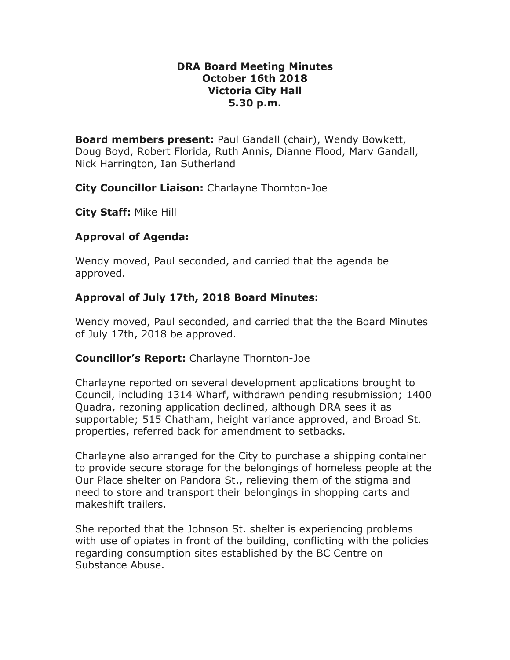#### DRA Board Meeting Minutes October 16th 2018 Victoria City Hall 5.30 p.m.

**Board members present: Paul Gandall (chair), Wendy Bowkett,** Doug Boyd, Robert Florida, Ruth Annis, Dianne Flood, Marv Gandall, Nick Harrington, Ian Sutherland

City Councillor Liaison: Charlayne Thornton-Joe

City Staff: Mike Hill

## Approval of Agenda:

Wendy moved, Paul seconded, and carried that the agenda be approved.

## Approval of July 17th, 2018 Board Minutes:

Wendy moved, Paul seconded, and carried that the the Board Minutes of July 17th, 2018 be approved.

## Councillor's Report: Charlayne Thornton-Joe

Charlayne reported on several development applications brought to Council, including 1314 Wharf, withdrawn pending resubmission; 1400 Quadra, rezoning application declined, although DRA sees it as supportable; 515 Chatham, height variance approved, and Broad St. properties, referred back for amendment to setbacks.

Charlayne also arranged for the City to purchase a shipping container to provide secure storage for the belongings of homeless people at the Our Place shelter on Pandora St., relieving them of the stigma and need to store and transport their belongings in shopping carts and makeshift trailers.

She reported that the Johnson St. shelter is experiencing problems with use of opiates in front of the building, conflicting with the policies regarding consumption sites established by the BC Centre on Substance Abuse.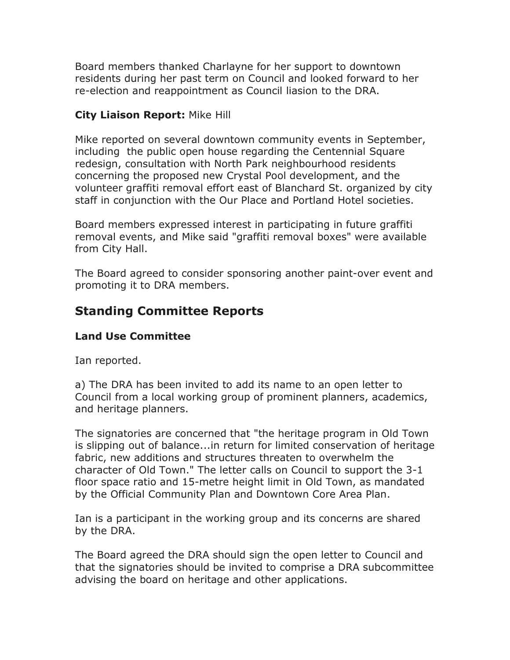Board members thanked Charlayne for her support to downtown residents during her past term on Council and looked forward to her re-election and reappointment as Council liasion to the DRA.

### City Liaison Report: Mike Hill

Mike reported on several downtown community events in September, including the public open house regarding the Centennial Square redesign, consultation with North Park neighbourhood residents concerning the proposed new Crystal Pool development, and the volunteer graffiti removal effort east of Blanchard St. organized by city staff in conjunction with the Our Place and Portland Hotel societies.

Board members expressed interest in participating in future graffiti removal events, and Mike said "graffiti removal boxes" were available from City Hall.

The Board agreed to consider sponsoring another paint-over event and promoting it to DRA members.

# Standing Committee Reports

## Land Use Committee

Ian reported.

a) The DRA has been invited to add its name to an open letter to Council from a local working group of prominent planners, academics, and heritage planners.

The signatories are concerned that "the heritage program in Old Town is slipping out of balance...in return for limited conservation of heritage fabric, new additions and structures threaten to overwhelm the character of Old Town." The letter calls on Council to support the 3-1 floor space ratio and 15-metre height limit in Old Town, as mandated by the Official Community Plan and Downtown Core Area Plan.

Ian is a participant in the working group and its concerns are shared by the DRA.

The Board agreed the DRA should sign the open letter to Council and that the signatories should be invited to comprise a DRA subcommittee advising the board on heritage and other applications.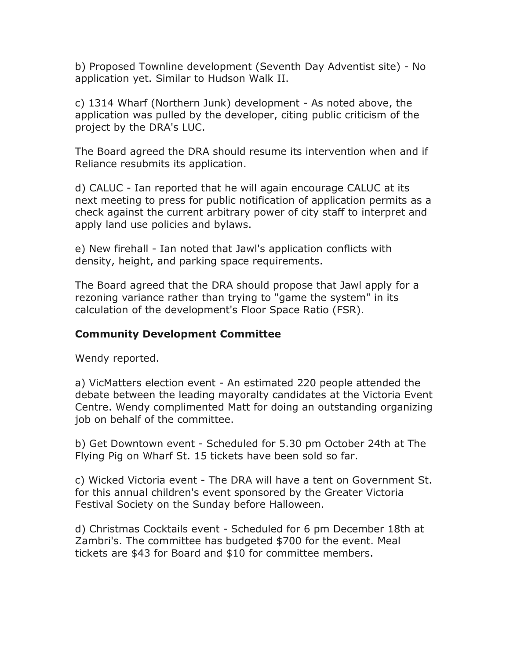b) Proposed Townline development (Seventh Day Adventist site) - No application yet. Similar to Hudson Walk II.

c) 1314 Wharf (Northern Junk) development - As noted above, the application was pulled by the developer, citing public criticism of the project by the DRA's LUC.

The Board agreed the DRA should resume its intervention when and if Reliance resubmits its application.

d) CALUC - Ian reported that he will again encourage CALUC at its next meeting to press for public notification of application permits as a check against the current arbitrary power of city staff to interpret and apply land use policies and bylaws.

e) New firehall - Ian noted that Jawl's application conflicts with density, height, and parking space requirements.

The Board agreed that the DRA should propose that Jawl apply for a rezoning variance rather than trying to "game the system" in its calculation of the development's Floor Space Ratio (FSR).

### Community Development Committee

Wendy reported.

a) VicMatters election event - An estimated 220 people attended the debate between the leading mayoralty candidates at the Victoria Event Centre. Wendy complimented Matt for doing an outstanding organizing job on behalf of the committee.

b) Get Downtown event - Scheduled for 5.30 pm October 24th at The Flying Pig on Wharf St. 15 tickets have been sold so far.

c) Wicked Victoria event - The DRA will have a tent on Government St. for this annual children's event sponsored by the Greater Victoria Festival Society on the Sunday before Halloween.

d) Christmas Cocktails event - Scheduled for 6 pm December 18th at Zambri's. The committee has budgeted \$700 for the event. Meal tickets are \$43 for Board and \$10 for committee members.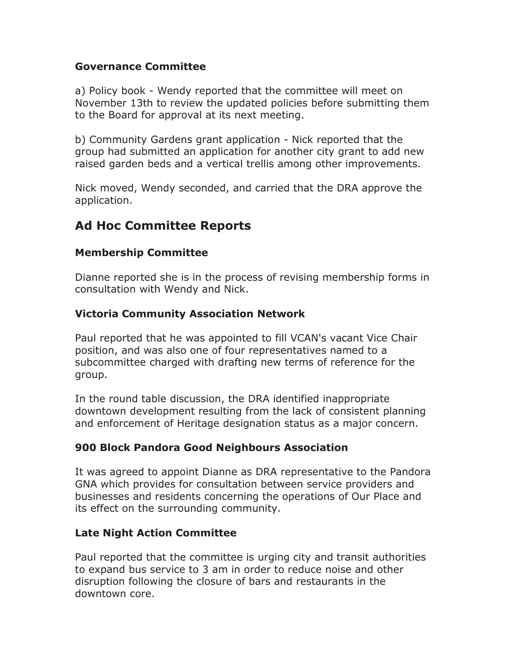#### Governance Committee

a) Policy book - Wendy reported that the committee will meet on November 13th to review the updated policies before submitting them to the Board for approval at its next meeting.

b) Community Gardens grant application - Nick reported that the group had submitted an application for another city grant to add new raised garden beds and a vertical trellis among other improvements.

Nick moved, Wendy seconded, and carried that the DRA approve the application.

# Ad Hoc Committee Reports

## Membership Committee

Dianne reported she is in the process of revising membership forms in consultation with Wendy and Nick.

## Victoria Community Association Network

Paul reported that he was appointed to fill VCAN's vacant Vice Chair position, and was also one of four representatives named to a subcommittee charged with drafting new terms of reference for the group.

In the round table discussion, the DRA identified inappropriate downtown development resulting from the lack of consistent planning and enforcement of Heritage designation status as a major concern.

## 900 Block Pandora Good Neighbours Association

It was agreed to appoint Dianne as DRA representative to the Pandora GNA which provides for consultation between service providers and businesses and residents concerning the operations of Our Place and its effect on the surrounding community.

## Late Night Action Committee

Paul reported that the committee is urging city and transit authorities to expand bus service to 3 am in order to reduce noise and other disruption following the closure of bars and restaurants in the downtown core.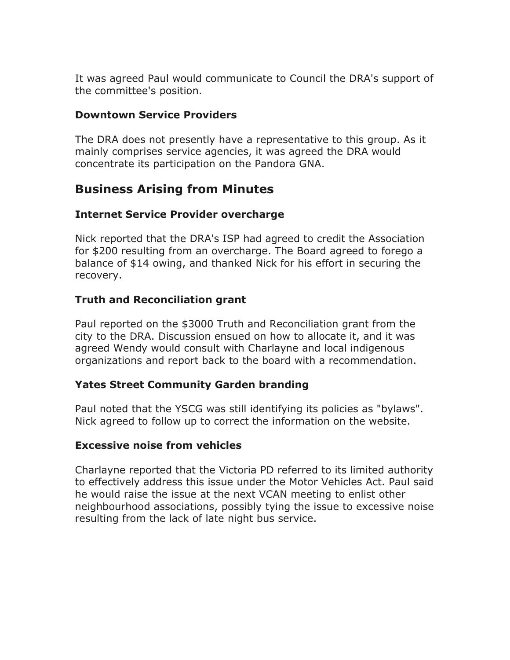It was agreed Paul would communicate to Council the DRA's support of the committee's position.

#### Downtown Service Providers

The DRA does not presently have a representative to this group. As it mainly comprises service agencies, it was agreed the DRA would concentrate its participation on the Pandora GNA.

# Business Arising from Minutes

## Internet Service Provider overcharge

Nick reported that the DRA's ISP had agreed to credit the Association for \$200 resulting from an overcharge. The Board agreed to forego a balance of \$14 owing, and thanked Nick for his effort in securing the recovery.

## Truth and Reconciliation grant

Paul reported on the \$3000 Truth and Reconciliation grant from the city to the DRA. Discussion ensued on how to allocate it, and it was agreed Wendy would consult with Charlayne and local indigenous organizations and report back to the board with a recommendation.

## Yates Street Community Garden branding

Paul noted that the YSCG was still identifying its policies as "bylaws". Nick agreed to follow up to correct the information on the website.

#### Excessive noise from vehicles

Charlayne reported that the Victoria PD referred to its limited authority to effectively address this issue under the Motor Vehicles Act. Paul said he would raise the issue at the next VCAN meeting to enlist other neighbourhood associations, possibly tying the issue to excessive noise resulting from the lack of late night bus service.